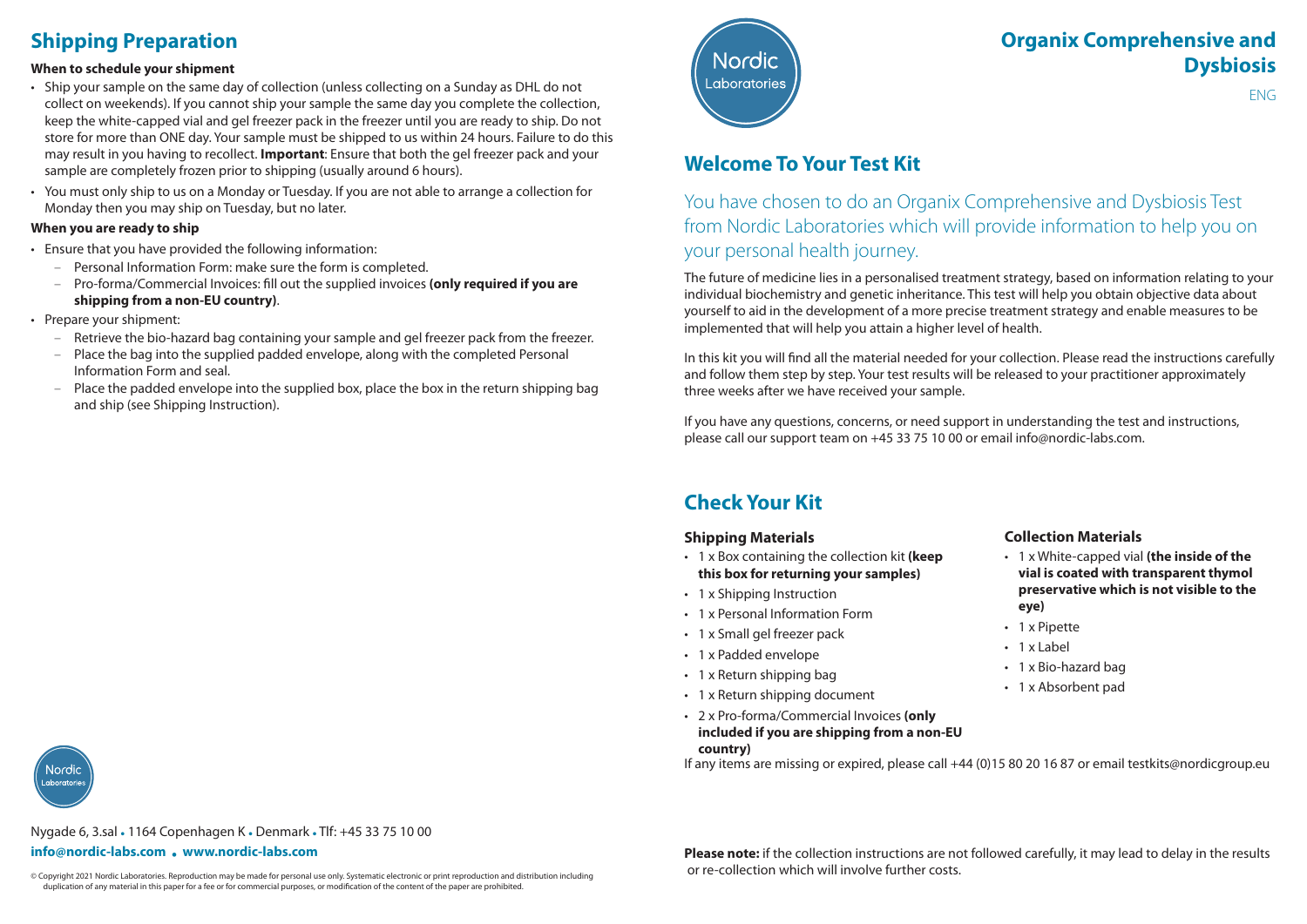# **Shipping Preparation**

#### **When to schedule your shipment**

- Ship your sample on the same day of collection (unless collecting on a Sunday as DHL do not collect on weekends). If you cannot ship your sample the same day you complete the collection, keep the white-capped vial and gel freezer pack in the freezer until you are ready to ship. Do not store for more than ONE day. Your sample must be shipped to us within 24 hours. Failure to do this may result in you having to recollect. **Important**: Ensure that both the gel freezer pack and your sample are completely frozen prior to shipping (usually around 6 hours).
- You must only ship to us on a Monday or Tuesday. If you are not able to arrange a collection for Monday then you may ship on Tuesday, but no later.

#### **When you are ready to ship**

- Ensure that you have provided the following information:
	- Personal Information Form: make sure the form is completed.
	- Pro-forma/Commercial Invoices: fill out the supplied invoices **(only required if you are shipping from a non-EU country)**.
- Prepare your shipment:
	- Retrieve the bio-hazard bag containing your sample and gel freezer pack from the freezer.
	- Place the bag into the supplied padded envelope, along with the completed Personal Information Form and seal.
	- Place the padded envelope into the supplied box, place the box in the return shipping bag and ship (see Shipping Instruction).



# **Organix Comprehensive and Dysbiosis**

ENG

## **Welcome To Your Test Kit**

You have chosen to do an Organix Comprehensive and Dysbiosis Test from Nordic Laboratories which will provide information to help you on your personal health journey.

The future of medicine lies in a personalised treatment strategy, based on information relating to your individual biochemistry and genetic inheritance. This test will help you obtain objective data about yourself to aid in the development of a more precise treatment strategy and enable measures to be implemented that will help you attain a higher level of health.

In this kit you will find all the material needed for your collection. Please read the instructions carefully and follow them step by step. Your test results will be released to your practitioner approximately three weeks after we have received your sample.

If you have any questions, concerns, or need support in understanding the test and instructions, please call our support team on +45 33 75 10 00 or email info@nordic-labs.com.

## **Check Your Kit**

#### **Shipping Materials**

- 1 x Box containing the collection kit **(keep this box for returning your samples)**
- 1 x Shipping Instruction
- 1 x Personal Information Form
- 1 x Small gel freezer pack
- 1 x Padded envelope
- 1 x Return shipping bag
- 1 x Return shipping document
- 2 x Pro-forma/Commercial Invoices **(only included if you are shipping from a non-EU country)**

#### **Collection Materials**

- 1 x White-capped vial **(the inside of the vial is coated with transparent thymol preservative which is not visible to the eye)**
- 1 x Pipette
- 1 x Label
- 1 x Bio-hazard bag
- 1 x Absorbent pad

Jordi

Nygade 6, 3.sal • 1164 Copenhagen K • Denmark • Tlf: +45 33 75 10 00

#### **info@nordic-labs.com • www.nordic-labs.com**

© Copyright 2021 Nordic Laboratories. Reproduction may be made for personal use only. Systematic electronic or print reproduction and distribution including **or re-collection which will involve further costs.** duplication of any material in this paper for a fee or for commercial purposes, or modification of the content of the paper are prohibited.

**Please note:** if the collection instructions are not followed carefully, it may lead to delay in the results

If any items are missing or expired, please call +44 (0)15 80 20 16 87 or email testkits@nordicgroup.eu